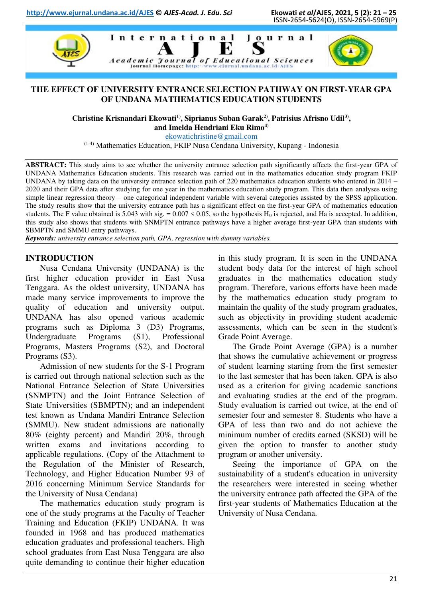

## **THE EFFECT OF UNIVERSITY ENTRANCE SELECTION PATHWAY ON FIRST-YEAR GPA OF UNDANA MATHEMATICS EDUCATION STUDENTS**

**Christine Krisnandari Ekowati1), Siprianus Suban Garak2), Patrisius Afrisno Udil3) , and Imelda Hendriani Eku Rimo4)**

[ekowatichristine@gmail.com](mailto:ekowatichristine@gmail.com)

(1-4) Mathematics Education, FKIP Nusa Cendana University, Kupang - Indonesia

**ABSTRACT:** This study aims to see whether the university entrance selection path significantly affects the first-year GPA of UNDANA Mathematics Education students. This research was carried out in the mathematics education study program FKIP UNDANA by taking data on the university entrance selection path of 220 mathematics education students who entered in 2014 – 2020 and their GPA data after studying for one year in the mathematics education study program. This data then analyses using simple linear regression theory – one categorical independent variable with several categories assisted by the SPSS application. The study results show that the university entrance path has a significant effect on the first-year GPA of mathematics education students. The F value obtained is 5.043 with sig. =  $0.007 \le 0.05$ , so the hypothesis H<sub>0</sub> is rejected, and Ha is accepted. In addition, this study also shows that students with SNMPTN entrance pathways have a higher average first-year GPA than students with SBMPTN and SMMU entry pathways.

*Keywords: university entrance selection path, GPA, regression with dummy variables.* 

## **INTRODUCTION**

Nusa Cendana University (UNDANA) is the first higher education provider in East Nusa Tenggara. As the oldest university, UNDANA has made many service improvements to improve the quality of education and university output. UNDANA has also opened various academic programs such as Diploma 3 (D3) Programs, Undergraduate Programs (S1), Professional Programs, Masters Programs (S2), and Doctoral Programs (S3).

Admission of new students for the S-1 Program is carried out through national selection such as the National Entrance Selection of State Universities (SNMPTN) and the Joint Entrance Selection of State Universities (SBMPTN); and an independent test known as Undana Mandiri Entrance Selection (SMMU). New student admissions are nationally 80% (eighty percent) and Mandiri 20%, through written exams and invitations according to applicable regulations. (Copy of the Attachment to the Regulation of the Minister of Research, Technology, and Higher Education Number 93 of 2016 concerning Minimum Service Standards for the University of Nusa Cendana)

The mathematics education study program is one of the study programs at the Faculty of Teacher Training and Education (FKIP) UNDANA. It was founded in 1968 and has produced mathematics education graduates and professional teachers. High school graduates from East Nusa Tenggara are also quite demanding to continue their higher education in this study program. It is seen in the UNDANA student body data for the interest of high school graduates in the mathematics education study program. Therefore, various efforts have been made by the mathematics education study program to maintain the quality of the study program graduates, such as objectivity in providing student academic assessments, which can be seen in the student's Grade Point Average.

The Grade Point Average (GPA) is a number that shows the cumulative achievement or progress of student learning starting from the first semester to the last semester that has been taken. GPA is also used as a criterion for giving academic sanctions and evaluating studies at the end of the program. Study evaluation is carried out twice, at the end of semester four and semester 8. Students who have a GPA of less than two and do not achieve the minimum number of credits earned (SKSD) will be given the option to transfer to another study program or another university.

Seeing the importance of GPA on the sustainability of a student's education in university the researchers were interested in seeing whether the university entrance path affected the GPA of the first-year students of Mathematics Education at the University of Nusa Cendana.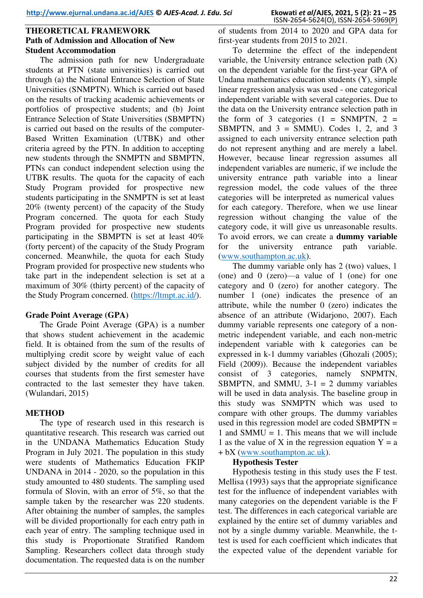# **THEORETICAL FRAMEWORK Path of Admission and Allocation of New Student Accommodation**

The admission path for new Undergraduate students at PTN (state universities) is carried out through (a) the National Entrance Selection of State Universities (SNMPTN). Which is carried out based on the results of tracking academic achievements or portfolios of prospective students; and (b) Joint Entrance Selection of State Universities (SBMPTN) is carried out based on the results of the computer-Based Written Examination (UTBK) and other criteria agreed by the PTN. In addition to accepting new students through the SNMPTN and SBMPTN, PTNs can conduct independent selection using the UTBK results. The quota for the capacity of each Study Program provided for prospective new students participating in the SNMPTN is set at least 20% (twenty percent) of the capacity of the Study Program concerned. The quota for each Study Program provided for prospective new students participating in the SBMPTN is set at least 40% (forty percent) of the capacity of the Study Program concerned. Meanwhile, the quota for each Study Program provided for prospective new students who take part in the independent selection is set at a maximum of 30% (thirty percent) of the capacity of the Study Program concerned. [\(https://ltmpt.ac.id/\)](https://ltmpt.ac.id/).

## **Grade Point Average (GPA)**

The Grade Point Average (GPA) is a number that shows student achievement in the academic field. It is obtained from the sum of the results of multiplying credit score by weight value of each subject divided by the number of credits for all courses that students from the first semester have contracted to the last semester they have taken. (Wulandari, 2015)

## **METHOD**

The type of research used in this research is quantitative research. This research was carried out in the UNDANA Mathematics Education Study Program in July 2021. The population in this study were students of Mathematics Education FKIP UNDANA in 2014 - 2020, so the population in this study amounted to 480 students. The sampling used formula of Slovin, with an error of 5%, so that the sample taken by the researcher was 220 students. After obtaining the number of samples, the samples will be divided proportionally for each entry path in each year of entry. The sampling technique used in this study is Proportionate Stratified Random Sampling. Researchers collect data through study documentation. The requested data is on the number of students from 2014 to 2020 and GPA data for first-year students from 2015 to 2021.

Ekowati et al/AJES, 2021, 5 (2): 21 - 25<br>ISSN-2654-5624(O), ISSN-2654-5969(P)

To determine the effect of the independent variable, the University entrance selection path (X) on the dependent variable for the first-year GPA of Undana mathematics education students (Y), simple linear regression analysis was used - one categorical independent variable with several categories. Due to the data on the University entrance selection path in the form of 3 categories  $(1 = \text{SNMPTN}, 2 =$ SBMPTN, and  $3 =$  SMMU). Codes 1, 2, and 3 assigned to each university entrance selection path do not represent anything and are merely a label. However, because linear regression assumes all independent variables are numeric, if we include the university entrance path variable into a linear regression model, the code values of the three categories will be interpreted as numerical values for each category. Therefore, when we use linear regression without changing the value of the category code, it will give us unreasonable results. To avoid errors, we can create a **dummy variable** for the university entrance path variable. [\(www.southampton.ac.uk\)](http://www.southampton.ac.uk/).

The dummy variable only has 2 (two) values, 1 (one) and 0 (zero)—a value of 1 (one) for one category and 0 (zero) for another category. The number 1 (one) indicates the presence of an attribute, while the number 0 (zero) indicates the absence of an attribute (Widarjono, 2007). Each dummy variable represents one category of a nonmetric independent variable, and each non-metric independent variable with k categories can be expressed in k-1 dummy variables (Ghozali (2005); Field (2009)). Because the independent variables consist of 3 categories, namely SNPMTN, SBMPTN, and SMMU,  $3-1 = 2$  dummy variables will be used in data analysis. The baseline group in this study was SNMPTN which was used to compare with other groups. The dummy variables used in this regression model are coded SBMPTN = 1 and SMMU  $=$  1. This means that we will include 1 as the value of X in the regression equation  $Y = a$ + bX [\(www.southampton.ac.uk\)](http://www.southampton.ac.uk/).

#### **Hypothesis Tester**

Hypothesis testing in this study uses the F test. Mellisa (1993) says that the appropriate significance test for the influence of independent variables with many categories on the dependent variable is the F test. The differences in each categorical variable are explained by the entire set of dummy variables and not by a single dummy variable. Meanwhile, the ttest is used for each coefficient which indicates that the expected value of the dependent variable for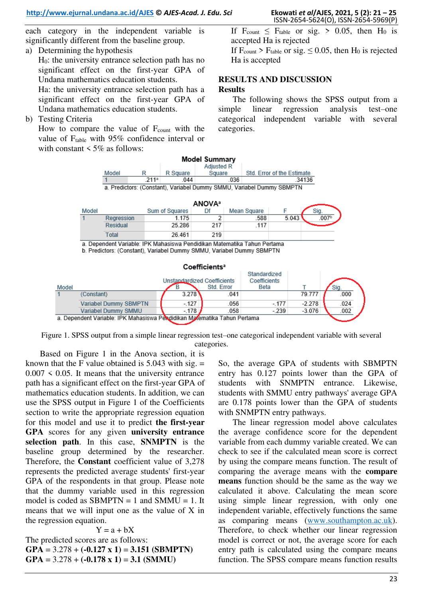each category in the independent variable is significantly different from the baseline group.

- a) Determining the hypothesis
- H0: the university entrance selection path has no significant effect on the first-year GPA of Undana mathematics education students. Ha: the university entrance selection path has a significant effect on the first-year GPA of Undana mathematics education students.
- b) Testing Criteria

How to compare the value of  $F_{\text{count}}$  with the value of F<sub>table</sub> with 95% confidence interval or with constant  $\leq 5\%$  as follows:

If  $F_{\text{count}} \leq F_{\text{table}}$  or sig. > 0.05, then H<sub>0</sub> is accepted Ha is rejected

If  $F_{\text{count}}$  >  $F_{\text{table}}$  or sig.  $\leq 0.05$ , then  $H_0$  is rejected Ha is accepted

### **RESULTS AND DISCUSSION Results**

The following shows the SPSS output from a simple linear regression analysis test–one categorical independent variable with several categories.



Figure 1. SPSS output from a simple linear regression test–one categorical independent variable with several categories.

Based on Figure 1 in the Anova section, it is known that the F value obtained is  $5.043$  with sig.  $=$  $0.007 \leq 0.05$ . It means that the university entrance path has a significant effect on the first-year GPA of mathematics education students. In addition, we can use the SPSS output in Figure 1 of the Coefficients section to write the appropriate regression equation for this model and use it to predict **the first-year GPA** scores for any given **university entrance selection path**. In this case, **SNMPTN** is the baseline group determined by the researcher. Therefore, the **Constant** coefficient value of 3,278 represents the predicted average students' first-year GPA of the respondents in that group. Please note that the dummy variable used in this regression model is coded as  $SBMPTN = 1$  and  $SMMU = 1$ . It means that we will input one as the value of X in the regression equation.

 $Y = a + bX$ The predicted scores are as follows: **GPA** = 3.278 + **(-0.127 x 1)** = **3.151 (SBMPTN) GPA** = 3.278 + **(-0.178 x 1)** = **3.1 (SMMU)**

So, the average GPA of students with SBMPTN entry has 0.127 points lower than the GPA of students with SNMPTN entrance. Likewise, students with SMMU entry pathways' average GPA are 0.178 points lower than the GPA of students with SNMPTN entry pathways.

The linear regression model above calculates the average confidence score for the dependent variable from each dummy variable created. We can check to see if the calculated mean score is correct by using the compare means function. The result of comparing the average means with the **compare means** function should be the same as the way we calculated it above. Calculating the mean score using simple linear regression, with only one independent variable, effectively functions the same as comparing means [\(www.southampton.ac.uk\)](http://www.southampton.ac.uk/). Therefore, to check whether our linear regression model is correct or not, the average score for each entry path is calculated using the compare means function. The SPSS compare means function results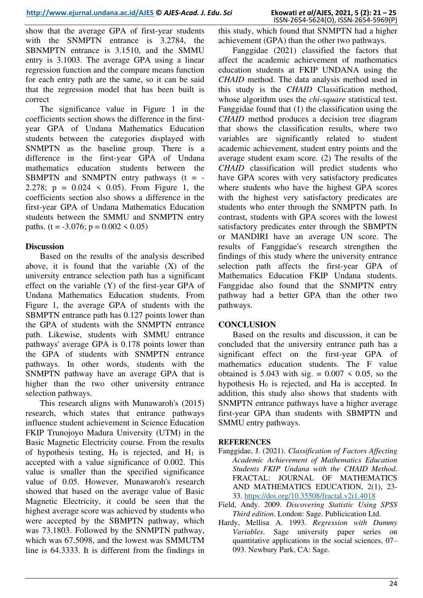show that the average GPA of first-year students with the SNMPTN entrance is 3.2784, the SBNMPTN entrance is 3.1510, and the SMMU entry is 3.1003. The average GPA using a linear regression function and the compare means function for each entry path are the same, so it can be said that the regression model that has been built is correct

The significance value in Figure 1 in the coefficients section shows the difference in the firstyear GPA of Undana Mathematics Education students between the categories displayed with SNMPTN as the baseline group. There is a difference in the first-year GPA of Undana mathematics education students between the SBMPTN and SNMPTN entry pathways  $(t = -$ 2.278;  $p = 0.024 \le 0.05$ ). From Figure 1, the coefficients section also shows a difference in the first-year GPA of Undana Mathematics Education students between the SMMU and SNMPTN entry paths. (t = -3.076;  $p = 0.002 \le 0.05$ )

# **Discussion**

Based on the results of the analysis described above, it is found that the variable (X) of the university entrance selection path has a significant effect on the variable (Y) of the first-year GPA of Undana Mathematics Education students. From Figure 1, the average GPA of students with the SBMPTN entrance path has 0.127 points lower than the GPA of students with the SNMPTN entrance path. Likewise, students with SMMU entrance pathways' average GPA is 0.178 points lower than the GPA of students with SNMPTN entrance pathways. In other words, students with the SNMPTN pathway have an average GPA that is higher than the two other university entrance selection pathways.

This research aligns with Munawaroh's (2015) research, which states that entrance pathways influence student achievement in Science Education FKIP Trunojoyo Madura University (UTM) in the Basic Magnetic Electricity course. From the results of hypothesis testing,  $H_0$  is rejected, and  $H_1$  is accepted with a value significance of 0.002. This value is smaller than the specified significance value of 0.05. However, Munawaroh's research showed that based on the average value of Basic Magnetic Electricity, it could be seen that the highest average score was achieved by students who were accepted by the SBMPTN pathway, which was 73.1803. Followed by the SNMPTN pathway, which was 67.5098, and the lowest was SMMUTM line is 64.3333. It is different from the findings in this study, which found that SNMPTN had a higher achievement (GPA) than the other two pathways.

Fanggidae (2021) classified the factors that affect the academic achievement of mathematics education students at FKIP UNDANA using the *CHAID* method. The data analysis method used in this study is the *CHAID* Classification method, whose algorithm uses the *chi-square* statistical test. Fanggidae found that (1) the classification using the *CHAID* method produces a decision tree diagram that shows the classification results, where two variables are significantly related to student academic achievement, student entry points and the average student exam score. (2) The results of the *CHAID* classification will predict students who have GPA scores with very satisfactory predicates where students who have the highest GPA scores with the highest very satisfactory predicates are students who enter through the SNMPTN path. In contrast, students with GPA scores with the lowest satisfactory predicates enter through the SBMPTN or MANDIRI have an average UN score. The results of Fanggidae's research strengthen the findings of this study where the university entrance selection path affects the first-year GPA of Mathematics Education FKIP Undana students. Fanggidae also found that the SNMPTN entry pathway had a better GPA than the other two pathways.

# **CONCLUSION**

Based on the results and discussion, it can be concluded that the university entrance path has a significant effect on the first-year GPA of mathematics education students. The F value obtained is 5.043 with sig.  $= 0.007 \le 0.05$ , so the hypothesis  $H_0$  is rejected, and  $Ha$  is accepted. In addition, this study also shows that students with SNMPTN entrance pathways have a higher average first-year GPA than students with SBMPTN and SMMU entry pathways.

## **REFERENCES**

- Fanggidae, J. (2021). *Classification of Factors Affecting Academic Achievement of Mathematics Education Students FKIP Undana with the CHAID Method*. FRACTAL: JOURNAL OF MATHEMATICS AND MATHEMATICS EDUCATION, 2(1), 23- 33.<https://doi.org/10.35508/fractal.v2i1.4018>
- Field, Andy. 2009. *Discovering Statistic Using SPSS Third edition*. London: Sage. Publicication Ltd.
- Hardy, Mellisa A. 1993. *Regression with Dummy Variables*. Sage university paper series on quantitative applications in the social sciences, 07– 093. Newbury Park, CA: Sage.